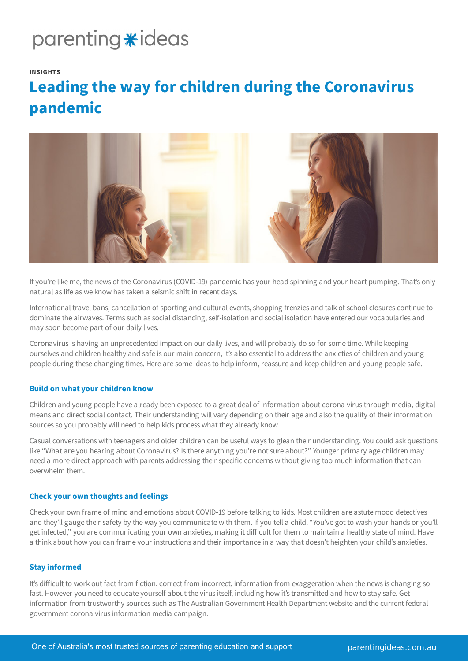## parenting \*ideas

### **INSIGHTS**

### **Leading the way for children during the Coronavirus pandemic**



If you're like me, the news of the Coronavirus (COVID-19) pandemic has your head spinning and your heart pumping. That's only natural as life as we know has taken a seismic shift in recent days.

International travel bans, cancellation of sporting and cultural events, shopping frenzies and talk of school closures continue to dominate the airwaves. Terms such as social distancing, self-isolation and social isolation have entered our vocabularies and may soon become part of our daily lives.

Coronavirus is having an unprecedented impact on our daily lives, and will probably do so for some time. While keeping ourselves and children healthy and safe is our main concern, it's also essential to address the anxieties of children and young people during these changing times. Here are some ideas to help inform, reassure and keep children and young people safe.

### **Build on what your children know**

Children and young people have already been exposed to a great deal of information about corona virus through media, digital means and direct social contact. Their understanding will vary depending on their age and also the quality of their information sources so you probably will need to help kids process what they already know.

Casual conversations with teenagers and older children can be useful ways to glean their understanding. You could ask questions like "What are you hearing about Coronavirus? Is there anything you're not sure about?" Younger primary age children may need a more direct approach with parents addressing their specific concerns without giving too much information that can overwhelm them.

### **Check your own thoughts and feelings**

Check your own frame of mind and emotions about COVID-19 before talking to kids. Most children are astute mood detectives and they'll gauge their safety by the way you communicate with them. If you tell a child, "You've got to wash your hands or you'll get infected," you are communicating your own anxieties, making it difficult for them to maintain a healthy state of mind. Have a think about how you can frame your instructions and their importance in a way that doesn't heighten your child's anxieties.

### **Stay informed**

It's difficult to work out fact from fiction, correct from incorrect, information from exaggeration when the news is changing so fast. However you need to educate yourself about the virus itself, including how it's transmitted and how to stay safe. Get information from trustworthy sources such as The Australian Government Health Department website and the current federal government corona virus information media campaign.